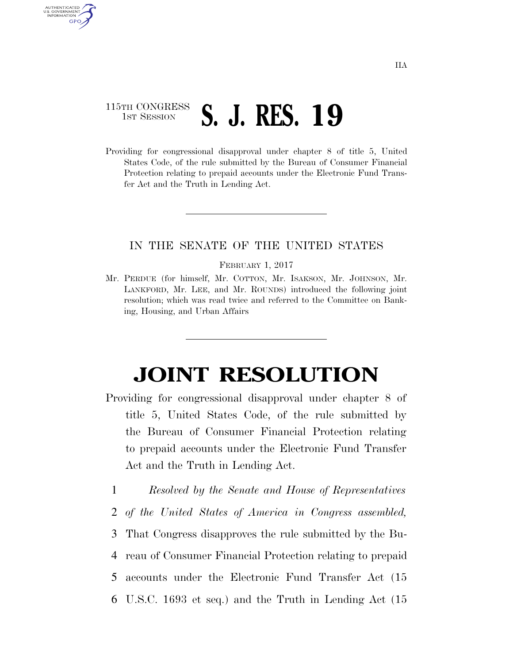## 115TH CONGRESS <sup>TH CONGRESS</sup> S. J. RES. 19

AUTHENTICATED U.S. GOVERNMENT GPO

> Providing for congressional disapproval under chapter 8 of title 5, United States Code, of the rule submitted by the Bureau of Consumer Financial Protection relating to prepaid accounts under the Electronic Fund Transfer Act and the Truth in Lending Act.

## IN THE SENATE OF THE UNITED STATES

## FEBRUARY 1, 2017

Mr. PERDUE (for himself, Mr. COTTON, Mr. ISAKSON, Mr. JOHNSON, Mr. LANKFORD, Mr. LEE, and Mr. ROUNDS) introduced the following joint resolution; which was read twice and referred to the Committee on Banking, Housing, and Urban Affairs

## **JOINT RESOLUTION**

- Providing for congressional disapproval under chapter 8 of title 5, United States Code, of the rule submitted by the Bureau of Consumer Financial Protection relating to prepaid accounts under the Electronic Fund Transfer Act and the Truth in Lending Act.
	- 1 *Resolved by the Senate and House of Representatives*
	- 2 *of the United States of America in Congress assembled,*
	- 3 That Congress disapproves the rule submitted by the Bu-
	- 4 reau of Consumer Financial Protection relating to prepaid 5 accounts under the Electronic Fund Transfer Act (15
	- 6 U.S.C. 1693 et seq.) and the Truth in Lending Act (15